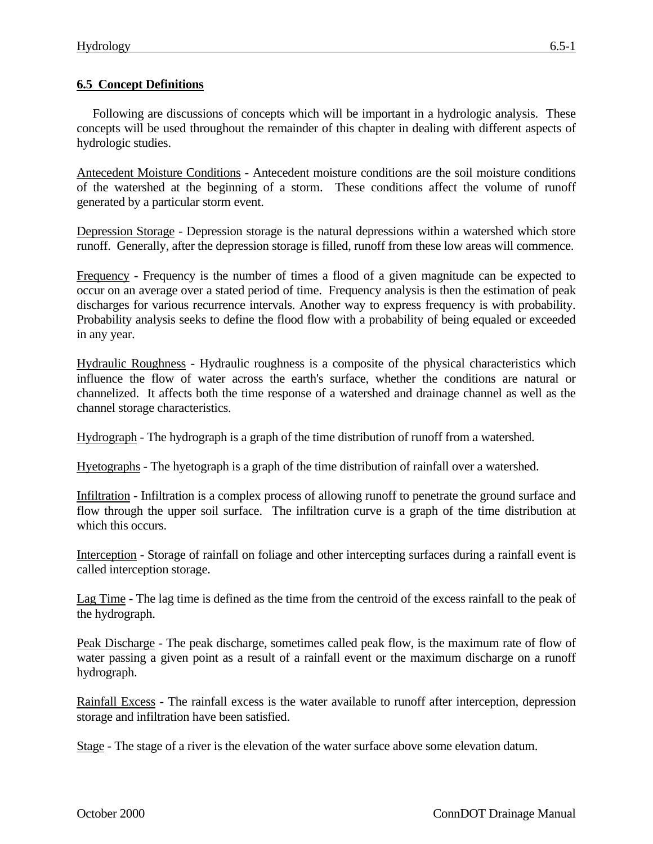## **6.5 Concept Definitions**

Following are discussions of concepts which will be important in a hydrologic analysis. These concepts will be used throughout the remainder of this chapter in dealing with different aspects of hydrologic studies.

Antecedent Moisture Conditions - Antecedent moisture conditions are the soil moisture conditions of the watershed at the beginning of a storm. These conditions affect the volume of runoff generated by a particular storm event.

Depression Storage - Depression storage is the natural depressions within a watershed which store runoff. Generally, after the depression storage is filled, runoff from these low areas will commence.

Frequency - Frequency is the number of times a flood of a given magnitude can be expected to occur on an average over a stated period of time. Frequency analysis is then the estimation of peak discharges for various recurrence intervals. Another way to express frequency is with probability. Probability analysis seeks to define the flood flow with a probability of being equaled or exceeded in any year.

Hydraulic Roughness - Hydraulic roughness is a composite of the physical characteristics which influence the flow of water across the earth's surface, whether the conditions are natural or channelized. It affects both the time response of a watershed and drainage channel as well as the channel storage characteristics.

Hydrograph - The hydrograph is a graph of the time distribution of runoff from a watershed.

Hyetographs - The hyetograph is a graph of the time distribution of rainfall over a watershed.

Infiltration - Infiltration is a complex process of allowing runoff to penetrate the ground surface and flow through the upper soil surface. The infiltration curve is a graph of the time distribution at which this occurs.

Interception - Storage of rainfall on foliage and other intercepting surfaces during a rainfall event is called interception storage.

Lag Time - The lag time is defined as the time from the centroid of the excess rainfall to the peak of the hydrograph.

Peak Discharge - The peak discharge, sometimes called peak flow, is the maximum rate of flow of water passing a given point as a result of a rainfall event or the maximum discharge on a runoff hydrograph.

Rainfall Excess - The rainfall excess is the water available to runoff after interception, depression storage and infiltration have been satisfied.

Stage - The stage of a river is the elevation of the water surface above some elevation datum.